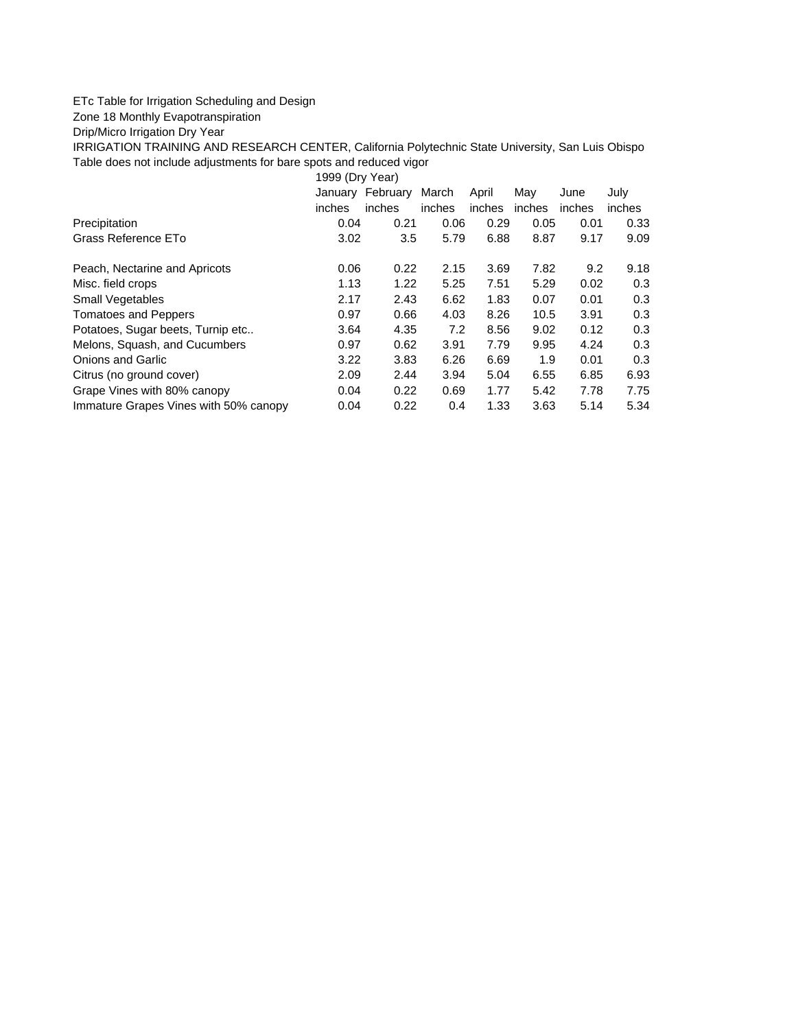## ETc Table for Irrigation Scheduling and Design

Zone 18 Monthly Evapotranspiration

Drip/Micro Irrigation Dry Year

IRRIGATION TRAINING AND RESEARCH CENTER, California Polytechnic State University, San Luis Obispo Table does not include adjustments for bare spots and reduced vigor

1999 (Dry Year)

|                                       |        | January February | March  | April  | May    | June   | July   |
|---------------------------------------|--------|------------------|--------|--------|--------|--------|--------|
|                                       | inches | inches           | inches | inches | inches | inches | inches |
| Precipitation                         | 0.04   | 0.21             | 0.06   | 0.29   | 0.05   | 0.01   | 0.33   |
| Grass Reference ETo                   | 3.02   | 3.5              | 5.79   | 6.88   | 8.87   | 9.17   | 9.09   |
| Peach, Nectarine and Apricots         | 0.06   | 0.22             | 2.15   | 3.69   | 7.82   | 9.2    | 9.18   |
| Misc. field crops                     | 1.13   | 1.22             | 5.25   | 7.51   | 5.29   | 0.02   | 0.3    |
| Small Vegetables                      | 2.17   | 2.43             | 6.62   | 1.83   | 0.07   | 0.01   | 0.3    |
| <b>Tomatoes and Peppers</b>           | 0.97   | 0.66             | 4.03   | 8.26   | 10.5   | 3.91   | 0.3    |
| Potatoes, Sugar beets, Turnip etc     | 3.64   | 4.35             | 7.2    | 8.56   | 9.02   | 0.12   | 0.3    |
| Melons, Squash, and Cucumbers         | 0.97   | 0.62             | 3.91   | 7.79   | 9.95   | 4.24   | 0.3    |
| <b>Onions and Garlic</b>              | 3.22   | 3.83             | 6.26   | 6.69   | 1.9    | 0.01   | 0.3    |
| Citrus (no ground cover)              | 2.09   | 2.44             | 3.94   | 5.04   | 6.55   | 6.85   | 6.93   |
| Grape Vines with 80% canopy           | 0.04   | 0.22             | 0.69   | 1.77   | 5.42   | 7.78   | 7.75   |
| Immature Grapes Vines with 50% canopy | 0.04   | 0.22             | 0.4    | 1.33   | 3.63   | 5.14   | 5.34   |